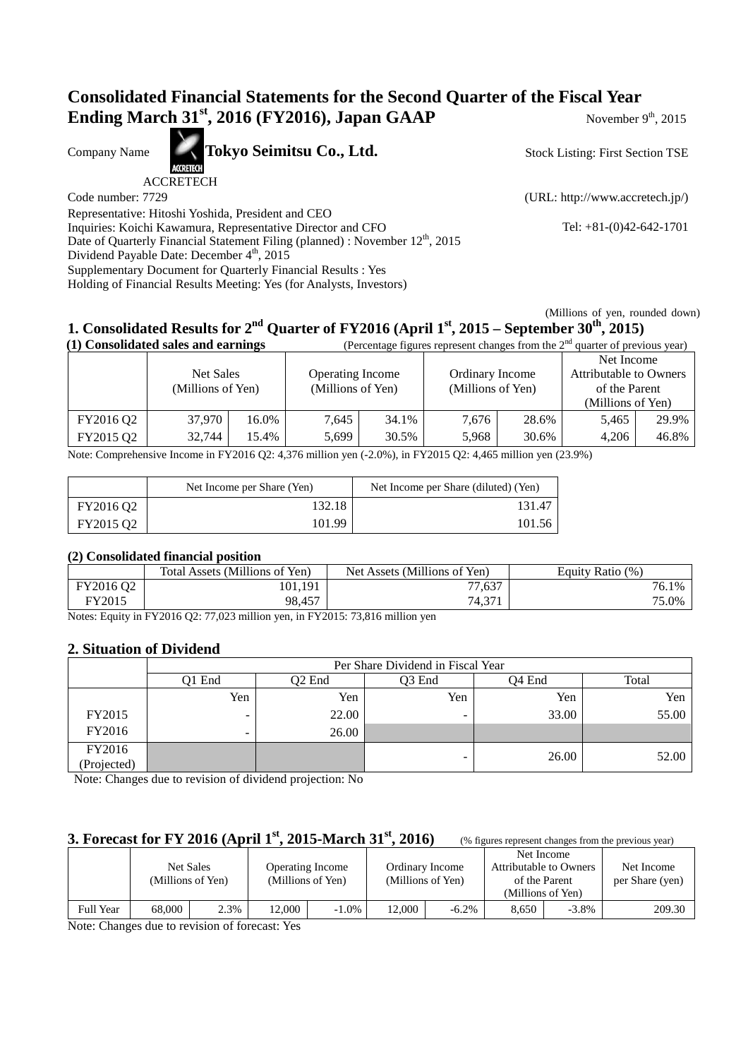## **Consolidated Financial Statements for the Second Quarter of the Fiscal Year Ending March 31<sup>st</sup>, 2016 (FY2016), Japan GAAP** November 9th, 2015

Company Name **Tokyo Seimitsu Co., Ltd.** 

ACCRETECH

Code number: 7729 (URL: http://www.accretech.jp/)

Stock Listing: First Section TSE

Representative: Hitoshi Yoshida, President and CEO Inquiries: Koichi Kawamura, Representative Director and CFO Tel: +81-(0)42-642-1701 Date of Quarterly Financial Statement Filing (planned) : November 12<sup>th</sup>, 2015 Dividend Payable Date: December 4<sup>th</sup>, 2015 Supplementary Document for Quarterly Financial Results : Yes Holding of Financial Results Meeting: Yes (for Analysts, Investors)

(Millions of yen, rounded down)

# **1. Consolidated Results for 2nd Quarter of FY2016 (April 1st, 2015 – September 30th, 2015)**

|           | (1) Consolidated sales and earnings |       |                         |       | (Percentage figures represent changes from the $2nd$ quarter of previous year) |       |                        |       |
|-----------|-------------------------------------|-------|-------------------------|-------|--------------------------------------------------------------------------------|-------|------------------------|-------|
|           |                                     |       |                         |       |                                                                                |       | Net Income             |       |
|           | Net Sales                           |       | <b>Operating Income</b> |       | Ordinary Income                                                                |       | Attributable to Owners |       |
|           | (Millions of Yen)                   |       | (Millions of Yen)       |       | (Millions of Yen)                                                              |       | of the Parent          |       |
|           |                                     |       |                         |       |                                                                                |       | (Millions of Yen)      |       |
| FY2016 Q2 | 37.970                              | 16.0% | 7,645                   | 34.1% | 7.676                                                                          | 28.6% | 5.465                  | 29.9% |
| FY2015 Q2 | 32,744                              | 15.4% | 5.699                   | 30.5% | 5.968                                                                          | 30.6% | 4.206                  | 46.8% |

Note: Comprehensive Income in FY2016 Q2: 4,376 million yen (-2.0%), in FY2015 Q2: 4,465 million yen (23.9%)

|           | Net Income per Share (Yen) | Net Income per Share (diluted) (Yen) |
|-----------|----------------------------|--------------------------------------|
| FY2016 Q2 | 132.18                     | 131.47                               |
| FY2015 Q2 | 101.99                     | 101.56                               |

## **(2) Consolidated financial position**

|              | Total Assets (Millions of Yen) | Net Assets (Millions of Yen) | Equity Ratio (%) |
|--------------|--------------------------------|------------------------------|------------------|
| FY2016 Q2    | 101,191                        | 77,637                       | 76.1%            |
| FY2015       | 98,457                         | 74,371                       | 75.0%            |
| $\mathbf{X}$ | $\cdots$<br>T17001602.7700     | $T370015 - 70.015 - 111$     |                  |

Notes: Equity in FY2016 Q2: 77,023 million yen, in FY2015: 73,816 million yen

## **2. Situation of Dividend**

|                           | Per Share Dividend in Fiscal Year |        |        |                    |       |  |  |
|---------------------------|-----------------------------------|--------|--------|--------------------|-------|--|--|
|                           | Q1 End                            | O2 End | Q3 End | O <sub>4</sub> End | Total |  |  |
|                           | Yen                               | Yen    | Yen    | Yen                | Yen   |  |  |
| FY2015                    |                                   | 22.00  |        | 33.00              | 55.00 |  |  |
| FY2016                    | $\overline{\phantom{a}}$          | 26.00  |        |                    |       |  |  |
| FY2016                    |                                   |        |        | 26.00              | 52.00 |  |  |
| (Projected)<br>__<br>____ | - - - - -<br>$\sim$ $\sim$        | - -    |        |                    |       |  |  |

Note: Changes due to revision of dividend projection: No

## **3. Forecast for FY 2016 (April 1<sup>st</sup>, 2015-March 31<sup>st</sup>, 2016) (% figures represent changes from the previous year)**

|                  |        | Net Sales<br>(Millions of Yen) |        | <b>Operating Income</b><br>(Millions of Yen) |        | Ordinary Income<br>(Millions of Yen) | of the Parent<br>(Millions of Yen) | Net Income<br>Attributable to Owners | Net Income<br>per Share (yen) |
|------------------|--------|--------------------------------|--------|----------------------------------------------|--------|--------------------------------------|------------------------------------|--------------------------------------|-------------------------------|
| <b>Full Year</b> | 68.000 | 2.3%                           | '2,000 | $-1.0\%$                                     | 12.000 | $-6.2\%$                             | 8.650                              | $-3.8\%$                             | 209.30                        |

Note: Changes due to revision of forecast: Yes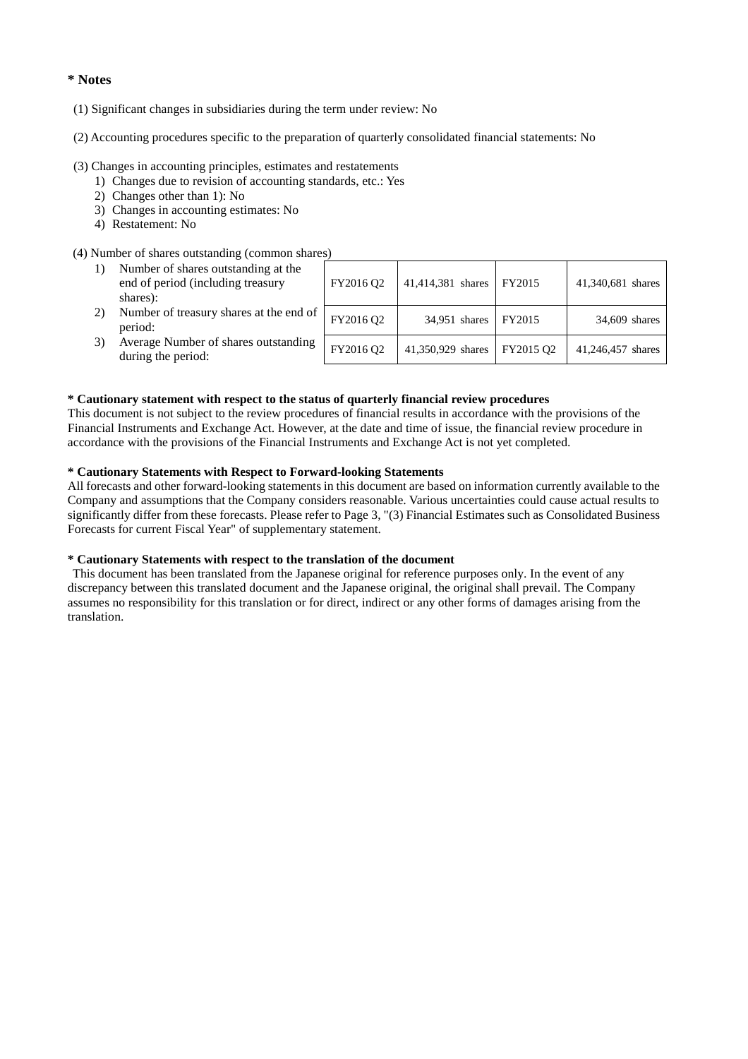## **\* Notes**

- (1) Significant changes in subsidiaries during the term under review: No
- (2) Accounting procedures specific to the preparation of quarterly consolidated financial statements: No

#### (3) Changes in accounting principles, estimates and restatements

- 1) Changes due to revision of accounting standards, etc.: Yes
- 2) Changes other than 1): No
- 3) Changes in accounting estimates: No
- 4) Restatement: No

### (4) Number of shares outstanding (common shares)

| 1) | Number of shares outstanding at the<br>end of period (including treasury<br>shares): | FY2016 Q2 | 41,414,381 shares    | FY2015    | 41,340,681 shares |
|----|--------------------------------------------------------------------------------------|-----------|----------------------|-----------|-------------------|
| 2) | Number of treasury shares at the end of<br>period:                                   | FY2016 Q2 | 34,951 shares FY2015 |           | 34,609 shares     |
| 3) | Average Number of shares outstanding<br>during the period:                           | FY2016 Q2 | 41,350,929 shares    | FY2015 Q2 | 41,246,457 shares |

#### **\* Cautionary statement with respect to the status of quarterly financial review procedures**

This document is not subject to the review procedures of financial results in accordance with the provisions of the Financial Instruments and Exchange Act. However, at the date and time of issue, the financial review procedure in accordance with the provisions of the Financial Instruments and Exchange Act is not yet completed.

#### **\* Cautionary Statements with Respect to Forward-looking Statements**

All forecasts and other forward-looking statements in this document are based on information currently available to the Company and assumptions that the Company considers reasonable. Various uncertainties could cause actual results to significantly differ from these forecasts. Please refer to Page 3, "(3) Financial Estimates such as Consolidated Business Forecasts for current Fiscal Year" of supplementary statement.

## **\* Cautionary Statements with respect to the translation of the document**

 This document has been translated from the Japanese original for reference purposes only. In the event of any discrepancy between this translated document and the Japanese original, the original shall prevail. The Company assumes no responsibility for this translation or for direct, indirect or any other forms of damages arising from the translation.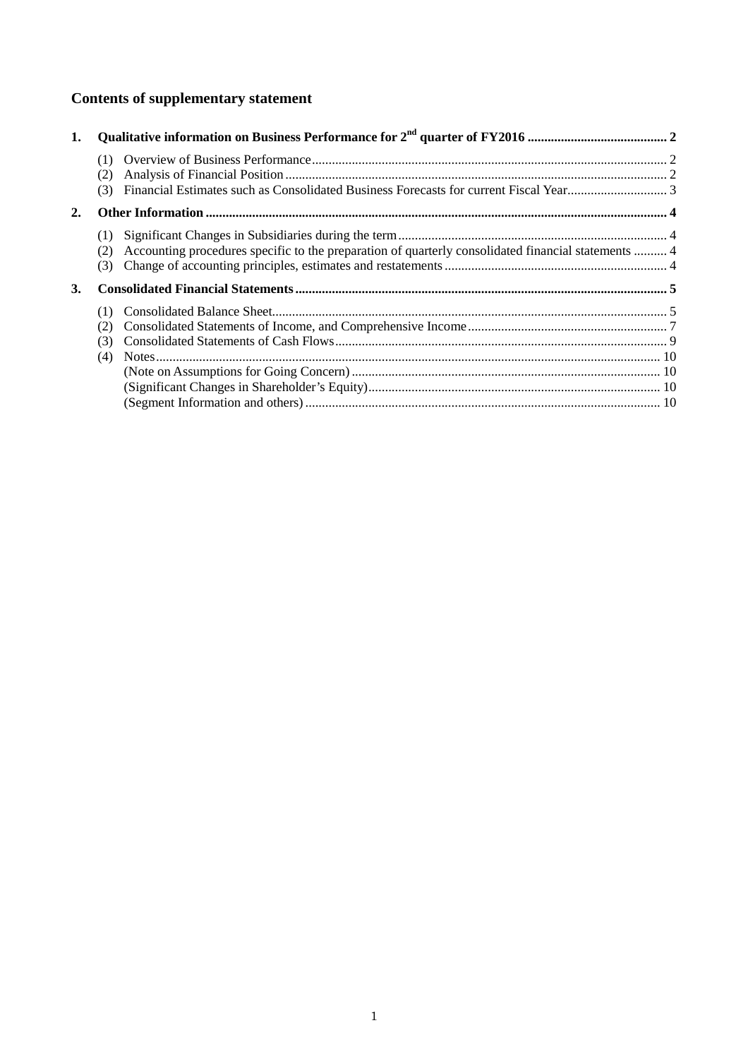# **Contents of supplementary statement**

| 1. |                                                                                                                          |  |
|----|--------------------------------------------------------------------------------------------------------------------------|--|
|    | (1)<br>(2)<br>(3)                                                                                                        |  |
| 2. |                                                                                                                          |  |
|    | (1)<br>Accounting procedures specific to the preparation of quarterly consolidated financial statements  4<br>(2)<br>(3) |  |
| 3. |                                                                                                                          |  |
|    | (1)<br>(2)<br>(3)<br>(4)                                                                                                 |  |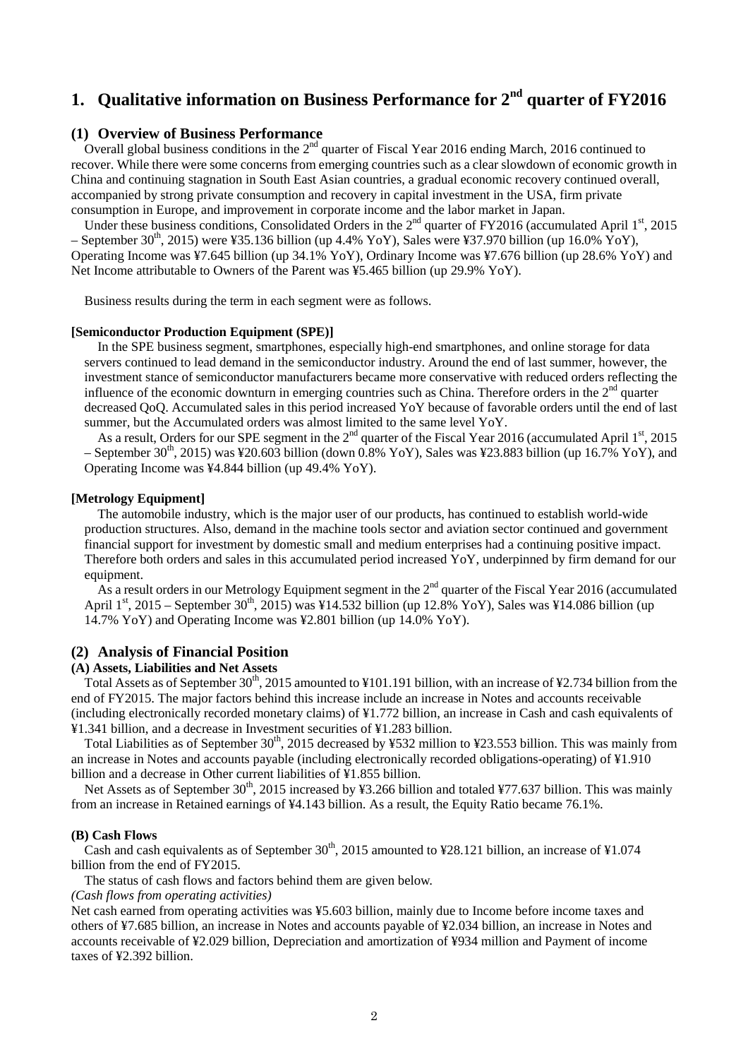# **1. Qualitative information on Business Performance for 2nd quarter of FY2016**

## **(1) Overview of Business Performance**

Overall global business conditions in the  $2<sup>nd</sup>$  quarter of Fiscal Year 2016 ending March, 2016 continued to recover. While there were some concerns from emerging countries such as a clear slowdown of economic growth in China and continuing stagnation in South East Asian countries, a gradual economic recovery continued overall, accompanied by strong private consumption and recovery in capital investment in the USA, firm private consumption in Europe, and improvement in corporate income and the labor market in Japan.

Under these business conditions, Consolidated Orders in the  $2<sup>nd</sup>$  quarter of FY2016 (accumulated April 1<sup>st</sup>, 2015) – September 30<sup>th</sup>, 2015) were ¥35.136 billion (up 4.4% YoY), Sales were ¥37.970 billion (up 16.0% YoY), Operating Income was ¥7.645 billion (up 34.1% YoY), Ordinary Income was ¥7.676 billion (up 28.6% YoY) and Net Income attributable to Owners of the Parent was ¥5.465 billion (up 29.9% YoY).

Business results during the term in each segment were as follows.

#### **[Semiconductor Production Equipment (SPE)]**

In the SPE business segment, smartphones, especially high-end smartphones, and online storage for data servers continued to lead demand in the semiconductor industry. Around the end of last summer, however, the investment stance of semiconductor manufacturers became more conservative with reduced orders reflecting the influence of the economic downturn in emerging countries such as China. Therefore orders in the  $2<sup>nd</sup>$  quarter decreased QoQ. Accumulated sales in this period increased YoY because of favorable orders until the end of last summer, but the Accumulated orders was almost limited to the same level YoY.

As a result, Orders for our SPE segment in the  $2<sup>nd</sup>$  quarter of the Fiscal Year 2016 (accumulated April  $1<sup>st</sup>$ , 2015 – September 30<sup>th</sup>, 2015) was ¥20.603 billion (down 0.8% YoY), Sales was ¥23.883 billion (up 16.7% YoY), and Operating Income was ¥4.844 billion (up 49.4% YoY).

#### **[Metrology Equipment]**

The automobile industry, which is the major user of our products, has continued to establish world-wide production structures. Also, demand in the machine tools sector and aviation sector continued and government financial support for investment by domestic small and medium enterprises had a continuing positive impact. Therefore both orders and sales in this accumulated period increased YoY, underpinned by firm demand for our equipment.

As a result orders in our Metrology Equipment segment in the  $2^{nd}$  quarter of the Fiscal Year 2016 (accumulated April  $1^{st}$ , 2015 – September 30<sup>th</sup>, 2015) was ¥14.532 billion (up 12.8% YoY), Sales was ¥14.086 billion (up 14.7% YoY) and Operating Income was ¥2.801 billion (up 14.0% YoY).

## **(2) Analysis of Financial Position**

### **(A) Assets, Liabilities and Net Assets**

Total Assets as of September 30<sup>th</sup>, 2015 amounted to ¥101.191 billion, with an increase of ¥2.734 billion from the end of FY2015. The major factors behind this increase include an increase in Notes and accounts receivable (including electronically recorded monetary claims) of ¥1.772 billion, an increase in Cash and cash equivalents of ¥1.341 billion, and a decrease in Investment securities of ¥1.283 billion.

Total Liabilities as of September  $30<sup>th</sup>$ , 2015 decreased by ¥532 million to ¥23.553 billion. This was mainly from an increase in Notes and accounts payable (including electronically recorded obligations-operating) of ¥1.910 billion and a decrease in Other current liabilities of ¥1.855 billion.

Net Assets as of September 30<sup>th</sup>, 2015 increased by ¥3.266 billion and totaled ¥77.637 billion. This was mainly from an increase in Retained earnings of ¥4.143 billion. As a result, the Equity Ratio became 76.1%.

#### **(B) Cash Flows**

Cash and cash equivalents as of September  $30<sup>th</sup>$ , 2015 amounted to ¥28.121 billion, an increase of ¥1.074 billion from the end of FY2015.

The status of cash flows and factors behind them are given below.

*(Cash flows from operating activities)* 

Net cash earned from operating activities was ¥5.603 billion, mainly due to Income before income taxes and others of ¥7.685 billion, an increase in Notes and accounts payable of ¥2.034 billion, an increase in Notes and accounts receivable of ¥2.029 billion, Depreciation and amortization of ¥934 million and Payment of income taxes of ¥2.392 billion.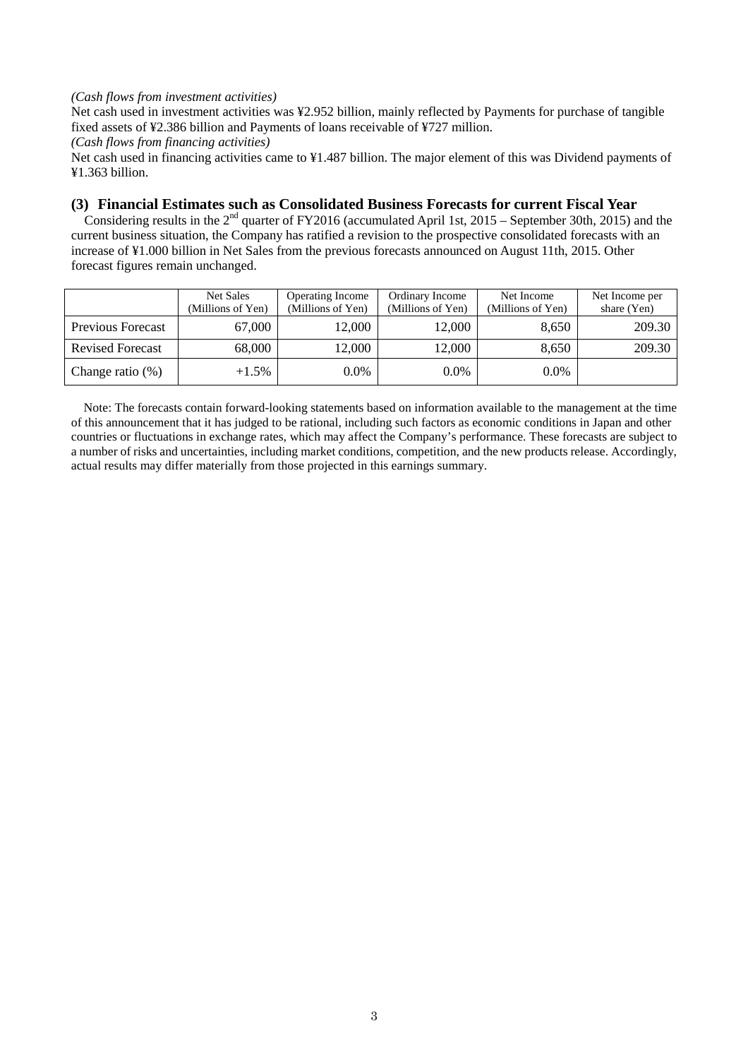## *(Cash flows from investment activities)*

Net cash used in investment activities was ¥2.952 billion, mainly reflected by Payments for purchase of tangible fixed assets of ¥2.386 billion and Payments of loans receivable of ¥727 million.

*(Cash flows from financing activities)* 

Net cash used in financing activities came to ¥1.487 billion. The major element of this was Dividend payments of ¥1.363 billion.

## **(3) Financial Estimates such as Consolidated Business Forecasts for current Fiscal Year**

Considering results in the  $2<sup>nd</sup>$  quarter of FY2016 (accumulated April 1st, 2015 – September 30th, 2015) and the current business situation, the Company has ratified a revision to the prospective consolidated forecasts with an increase of ¥1.000 billion in Net Sales from the previous forecasts announced on August 11th, 2015. Other forecast figures remain unchanged.

|                          | Net Sales<br>(Millions of Yen) | <b>Operating Income</b><br>(Millions of Yen) | Ordinary Income<br>(Millions of Yen) | Net Income<br>(Millions of Yen) | Net Income per<br>share (Yen) |
|--------------------------|--------------------------------|----------------------------------------------|--------------------------------------|---------------------------------|-------------------------------|
| <b>Previous Forecast</b> | 67,000                         | 12.000                                       | 12,000                               | 8,650                           | 209.30                        |
| <b>Revised Forecast</b>  | 68,000                         | 12,000                                       | 12,000                               | 8,650                           | 209.30                        |
| Change ratio $(\%)$      | $+1.5\%$                       | 0.0%                                         | $0.0\%$                              | $0.0\%$                         |                               |

Note: The forecasts contain forward-looking statements based on information available to the management at the time of this announcement that it has judged to be rational, including such factors as economic conditions in Japan and other countries or fluctuations in exchange rates, which may affect the Company's performance. These forecasts are subject to a number of risks and uncertainties, including market conditions, competition, and the new products release. Accordingly, actual results may differ materially from those projected in this earnings summary.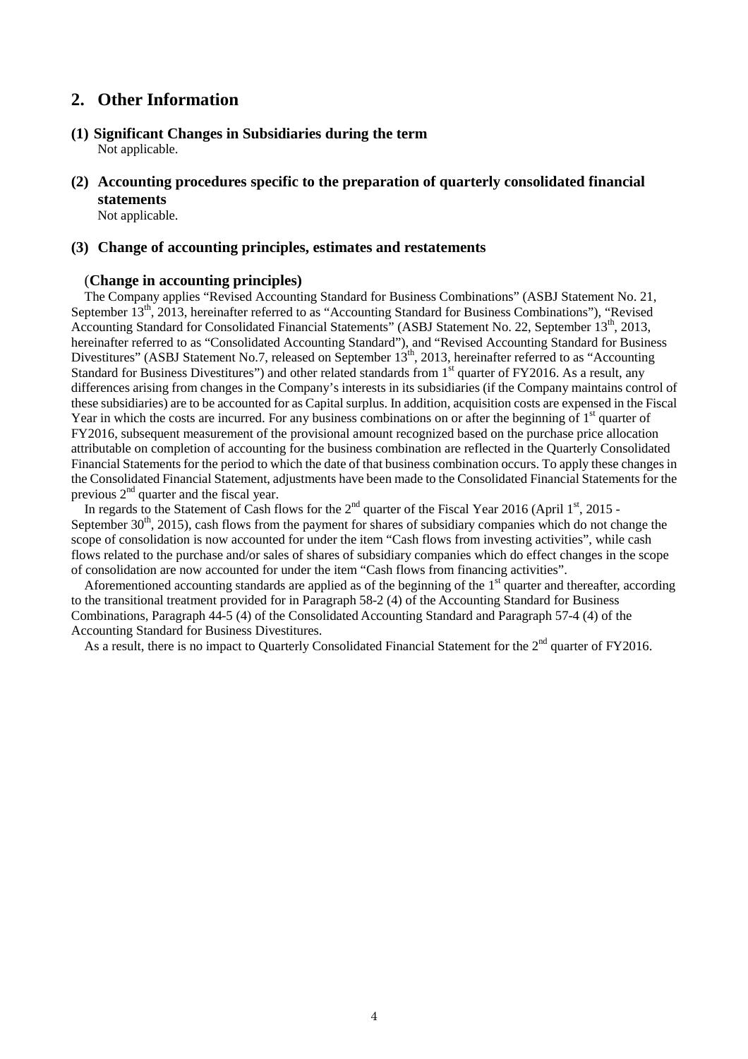## **2. Other Information**

- **(1) Significant Changes in Subsidiaries during the term** Not applicable.
- **(2) Accounting procedures specific to the preparation of quarterly consolidated financial statements**

Not applicable.

## **(3) Change of accounting principles, estimates and restatements**

## (**Change in accounting principles)**

The Company applies "Revised Accounting Standard for Business Combinations" (ASBJ Statement No. 21, September 13<sup>th</sup>, 2013, hereinafter referred to as "Accounting Standard for Business Combinations"), "Revised Accounting Standard for Consolidated Financial Statements" (ASBJ Statement No. 22, September 13<sup>th</sup>, 2013, hereinafter referred to as "Consolidated Accounting Standard"), and "Revised Accounting Standard for Business Divestitures" (ASBJ Statement No.7, released on September 13<sup>th</sup>, 2013, hereinafter referred to as "Accounting Standard for Business Divestitures") and other related standards from 1<sup>st</sup> quarter of FY2016. As a result, any differences arising from changes in the Company's interests in its subsidiaries (if the Company maintains control of these subsidiaries) are to be accounted for as Capital surplus. In addition, acquisition costs are expensed in the Fiscal Year in which the costs are incurred. For any business combinations on or after the beginning of  $1<sup>st</sup>$  quarter of FY2016, subsequent measurement of the provisional amount recognized based on the purchase price allocation attributable on completion of accounting for the business combination are reflected in the Quarterly Consolidated Financial Statements for the period to which the date of that business combination occurs. To apply these changes in the Consolidated Financial Statement, adjustments have been made to the Consolidated Financial Statements for the previous  $2<sup>nd</sup>$  quarter and the fiscal year.

In regards to the Statement of Cash flows for the  $2<sup>nd</sup>$  quarter of the Fiscal Year 2016 (April  $1<sup>st</sup>$ , 2015 -September  $30<sup>th</sup>$ , 2015), cash flows from the payment for shares of subsidiary companies which do not change the scope of consolidation is now accounted for under the item "Cash flows from investing activities", while cash flows related to the purchase and/or sales of shares of subsidiary companies which do effect changes in the scope of consolidation are now accounted for under the item "Cash flows from financing activities".

Aforementioned accounting standards are applied as of the beginning of the  $1<sup>st</sup>$  quarter and thereafter, according to the transitional treatment provided for in Paragraph 58-2 (4) of the Accounting Standard for Business Combinations, Paragraph 44-5 (4) of the Consolidated Accounting Standard and Paragraph 57-4 (4) of the Accounting Standard for Business Divestitures.

As a result, there is no impact to Quarterly Consolidated Financial Statement for the 2<sup>nd</sup> quarter of FY2016.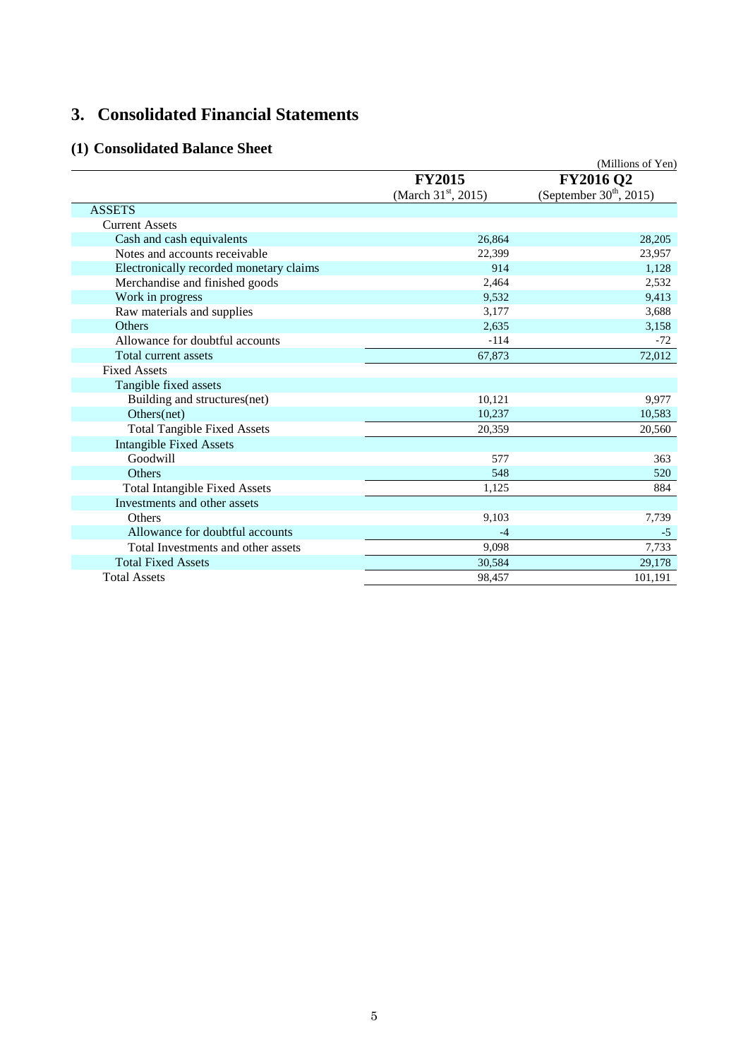# **3. Consolidated Financial Statements**

## **(1) Consolidated Balance Sheet**

|                                         |                                 | (Millions of Yen)         |
|-----------------------------------------|---------------------------------|---------------------------|
|                                         | <b>FY2015</b>                   | <b>FY2016 Q2</b>          |
|                                         | (March $31^{\text{st}}$ , 2015) | (September $30th$ , 2015) |
| <b>ASSETS</b>                           |                                 |                           |
| <b>Current Assets</b>                   |                                 |                           |
| Cash and cash equivalents               | 26,864                          | 28,205                    |
| Notes and accounts receivable           | 22,399                          | 23,957                    |
| Electronically recorded monetary claims | 914                             | 1,128                     |
| Merchandise and finished goods          | 2,464                           | 2,532                     |
| Work in progress                        | 9,532                           | 9,413                     |
| Raw materials and supplies              | 3,177                           | 3,688                     |
| <b>Others</b>                           | 2,635                           | 3,158                     |
| Allowance for doubtful accounts         | $-114$                          | $-72$                     |
| Total current assets                    | 67,873                          | 72,012                    |
| <b>Fixed Assets</b>                     |                                 |                           |
| Tangible fixed assets                   |                                 |                           |
| Building and structures(net)            | 10,121                          | 9,977                     |
| Others(net)                             | 10,237                          | 10,583                    |
| <b>Total Tangible Fixed Assets</b>      | 20,359                          | 20,560                    |
| <b>Intangible Fixed Assets</b>          |                                 |                           |
| Goodwill                                | 577                             | 363                       |
| Others                                  | 548                             | 520                       |
| <b>Total Intangible Fixed Assets</b>    | 1,125                           | 884                       |
| Investments and other assets            |                                 |                           |
| Others                                  | 9,103                           | 7,739                     |
| Allowance for doubtful accounts         | $-4$                            | $-5$                      |
| Total Investments and other assets      | 9,098                           | 7,733                     |
| <b>Total Fixed Assets</b>               | 30,584                          | 29,178                    |
| <b>Total Assets</b>                     | 98,457                          | 101,191                   |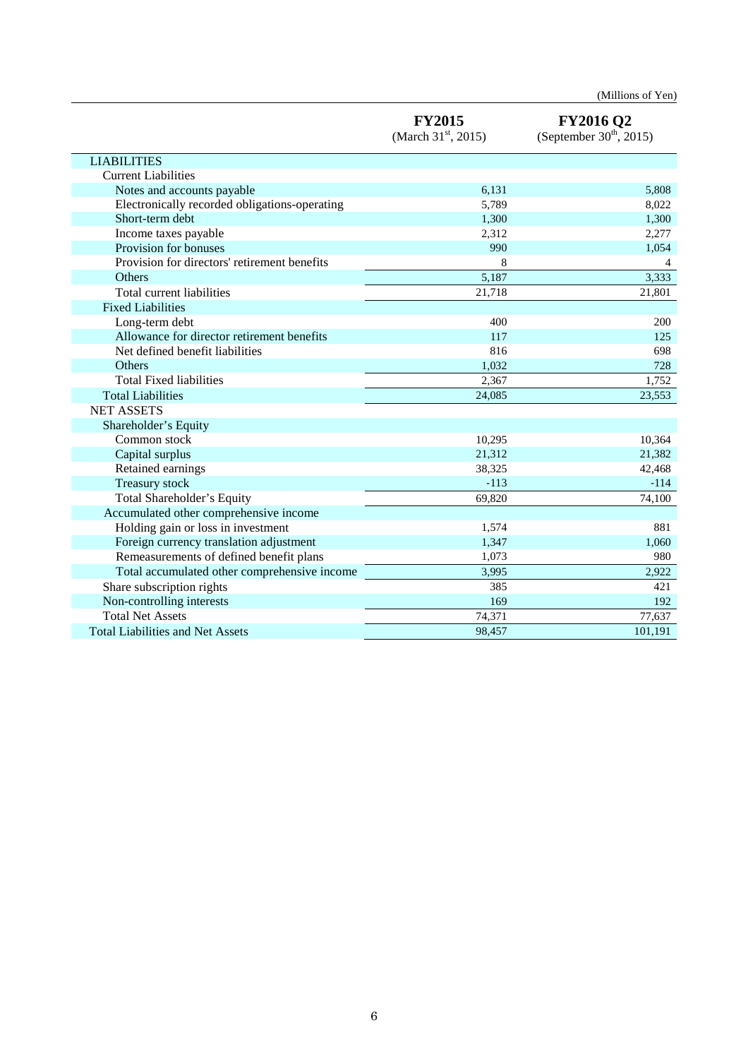|                                               |                                        | (Millions of Yen)                             |
|-----------------------------------------------|----------------------------------------|-----------------------------------------------|
|                                               | <b>FY2015</b><br>(March $31st$ , 2015) | <b>FY2016 Q2</b><br>(September $30th$ , 2015) |
| <b>LIABILITIES</b>                            |                                        |                                               |
| <b>Current Liabilities</b>                    |                                        |                                               |
| Notes and accounts payable                    | 6,131                                  | 5,808                                         |
| Electronically recorded obligations-operating | 5,789                                  | 8,022                                         |
| Short-term debt                               | 1,300                                  | 1,300                                         |
| Income taxes payable                          | 2,312                                  | 2,277                                         |
| Provision for bonuses                         | 990                                    | 1,054                                         |
| Provision for directors' retirement benefits  | 8                                      | 4                                             |
| Others                                        | 5,187                                  | 3,333                                         |
| Total current liabilities                     | 21,718                                 | 21,801                                        |
| <b>Fixed Liabilities</b>                      |                                        |                                               |
| Long-term debt                                | 400                                    | 200                                           |
| Allowance for director retirement benefits    | 117                                    | 125                                           |
| Net defined benefit liabilities               | 816                                    | 698                                           |
| <b>Others</b>                                 | 1,032                                  | 728                                           |
| <b>Total Fixed liabilities</b>                | 2,367                                  | 1,752                                         |
| <b>Total Liabilities</b>                      | 24.085                                 | 23,553                                        |
| <b>NET ASSETS</b>                             |                                        |                                               |
| Shareholder's Equity                          |                                        |                                               |
| Common stock                                  | 10,295                                 | 10,364                                        |
| Capital surplus                               | 21,312                                 | 21,382                                        |
| Retained earnings                             | 38,325                                 | 42,468                                        |
| Treasury stock                                | $-113$                                 | $-114$                                        |
| Total Shareholder's Equity                    | 69,820                                 | 74,100                                        |
| Accumulated other comprehensive income        |                                        |                                               |
| Holding gain or loss in investment            | 1,574                                  | 881                                           |
| Foreign currency translation adjustment       | 1,347                                  | 1,060                                         |
| Remeasurements of defined benefit plans       | 1,073                                  | 980                                           |
| Total accumulated other comprehensive income  | 3,995                                  | 2,922                                         |
| Share subscription rights                     | 385                                    | 421                                           |
| Non-controlling interests                     | 169                                    | 192                                           |
| <b>Total Net Assets</b>                       | 74,371                                 | 77,637                                        |
| <b>Total Liabilities and Net Assets</b>       | 98,457                                 | 101,191                                       |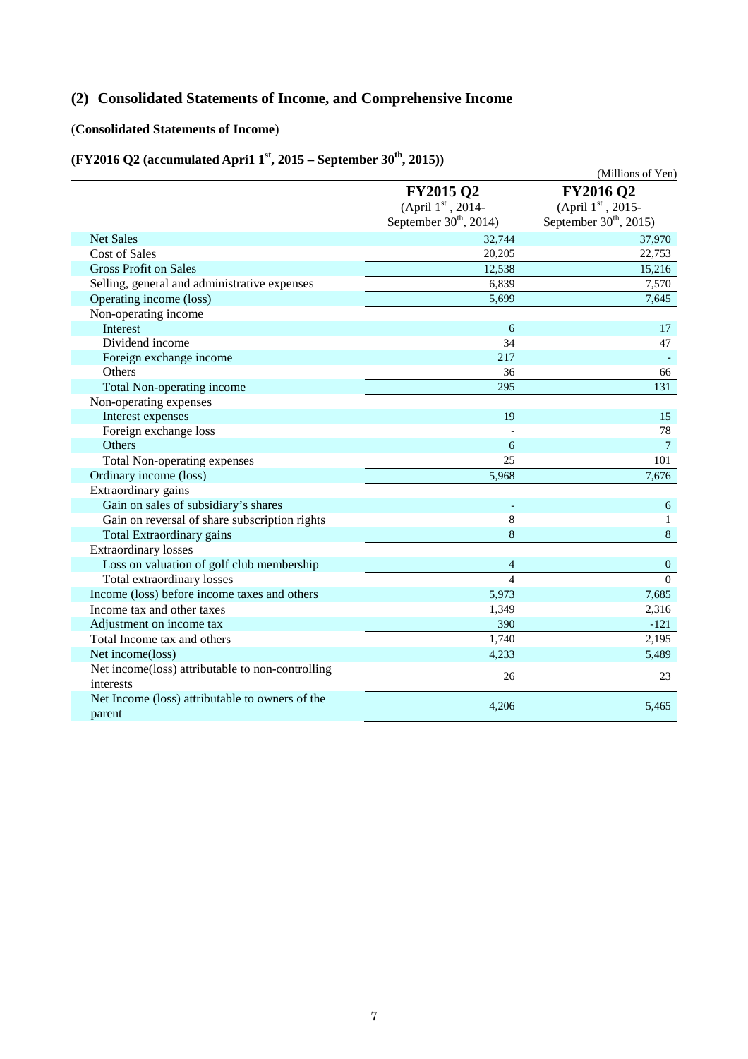# **(2) Consolidated Statements of Income, and Comprehensive Income**

## (**Consolidated Statements of Income**)

# **(FY2016 Q2 (accumulated Apri1 1st, 2015 – September 30th, 2015))**

|                                                               |                                                                   | (Millions of Yen)                                                 |
|---------------------------------------------------------------|-------------------------------------------------------------------|-------------------------------------------------------------------|
|                                                               | <b>FY2015 Q2</b><br>(April 1st, 2014-<br>September $30th$ , 2014) | <b>FY2016 Q2</b><br>(April 1st, 2015-<br>September $30th$ , 2015) |
| <b>Net Sales</b>                                              | 32,744                                                            | 37,970                                                            |
| <b>Cost of Sales</b>                                          | 20,205                                                            | 22,753                                                            |
| <b>Gross Profit on Sales</b>                                  | 12,538                                                            | 15,216                                                            |
| Selling, general and administrative expenses                  | 6,839                                                             | 7,570                                                             |
| Operating income (loss)                                       | 5,699                                                             | 7,645                                                             |
| Non-operating income                                          |                                                                   |                                                                   |
| Interest                                                      | 6                                                                 | 17                                                                |
| Dividend income                                               | 34                                                                | 47                                                                |
| Foreign exchange income                                       | 217                                                               |                                                                   |
| Others                                                        | 36                                                                | 66                                                                |
| Total Non-operating income                                    | 295                                                               | 131                                                               |
| Non-operating expenses                                        |                                                                   |                                                                   |
| Interest expenses                                             | 19                                                                | 15                                                                |
| Foreign exchange loss                                         |                                                                   | 78                                                                |
| Others                                                        | 6                                                                 | 7                                                                 |
| <b>Total Non-operating expenses</b>                           | 25                                                                | 101                                                               |
| Ordinary income (loss)                                        | 5,968                                                             | 7,676                                                             |
| Extraordinary gains                                           |                                                                   |                                                                   |
| Gain on sales of subsidiary's shares                          |                                                                   | 6                                                                 |
| Gain on reversal of share subscription rights                 | 8                                                                 | $\mathbf{1}$                                                      |
| Total Extraordinary gains                                     | 8                                                                 | 8                                                                 |
| <b>Extraordinary losses</b>                                   |                                                                   |                                                                   |
| Loss on valuation of golf club membership                     | $\overline{4}$                                                    | $\mathbf{0}$                                                      |
| Total extraordinary losses                                    | $\overline{4}$                                                    | $\Omega$                                                          |
| Income (loss) before income taxes and others                  | 5,973                                                             | 7,685                                                             |
| Income tax and other taxes                                    | 1,349                                                             | 2,316                                                             |
| Adjustment on income tax                                      | 390                                                               | $-121$                                                            |
| Total Income tax and others                                   | 1,740                                                             | 2,195                                                             |
| Net income(loss)                                              | 4.233                                                             | 5,489                                                             |
| Net income(loss) attributable to non-controlling<br>interests | 26                                                                | 23                                                                |
| Net Income (loss) attributable to owners of the<br>parent     | 4,206                                                             | 5,465                                                             |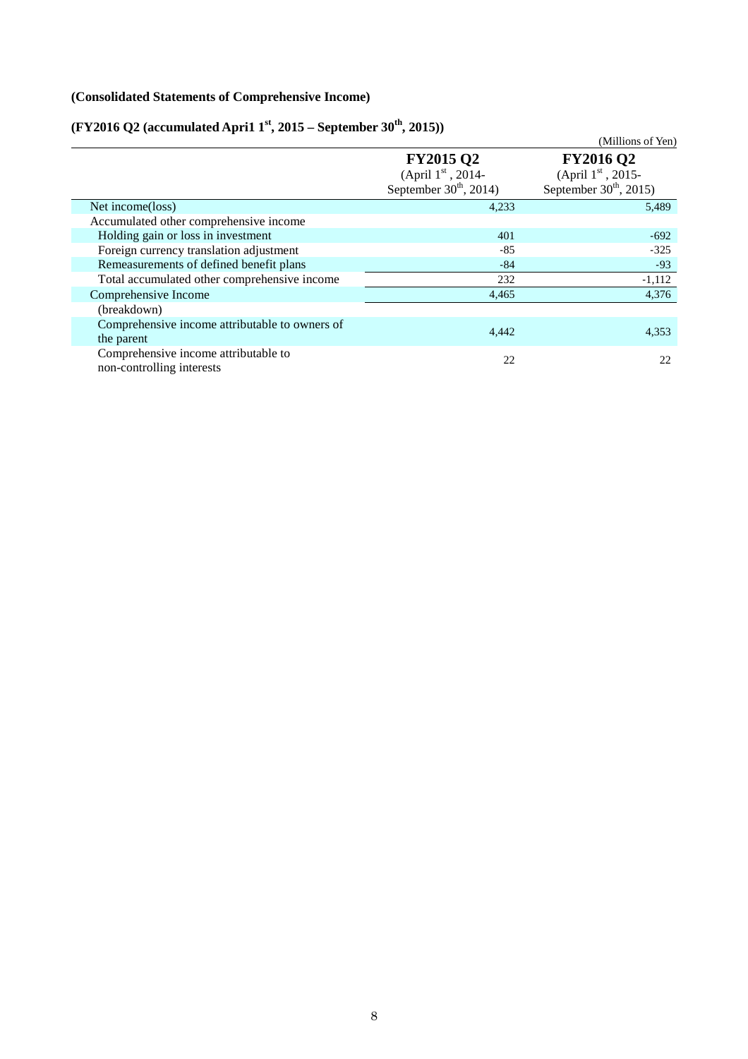## **(Consolidated Statements of Comprehensive Income)**

# **(FY2016 Q2 (accumulated Apri1 1st, 2015 – September 30th, 2015))**

|                                                                   |                                | (Millions of Yen)        |
|-------------------------------------------------------------------|--------------------------------|--------------------------|
|                                                                   | <b>FY2015 Q2</b>               | <b>FY2016 Q2</b>         |
|                                                                   | (April $1^{\text{st}}$ , 2014- | (April $1st$ , 2015-     |
|                                                                   | September $30th$ , 2014)       | September $30th$ , 2015) |
| Net income(loss)                                                  | 4,233                          | 5,489                    |
| Accumulated other comprehensive income                            |                                |                          |
| Holding gain or loss in investment                                | 401                            | $-692$                   |
| Foreign currency translation adjustment                           | $-85$                          | $-325$                   |
| Remeasurements of defined benefit plans                           | $-84$                          | $-93$                    |
| Total accumulated other comprehensive income                      | 232                            | $-1,112$                 |
| Comprehensive Income                                              | 4,465                          | 4,376                    |
| (breakdown)                                                       |                                |                          |
| Comprehensive income attributable to owners of                    | 4,442                          | 4,353                    |
| the parent                                                        |                                |                          |
| Comprehensive income attributable to<br>non-controlling interests | 22                             | 22                       |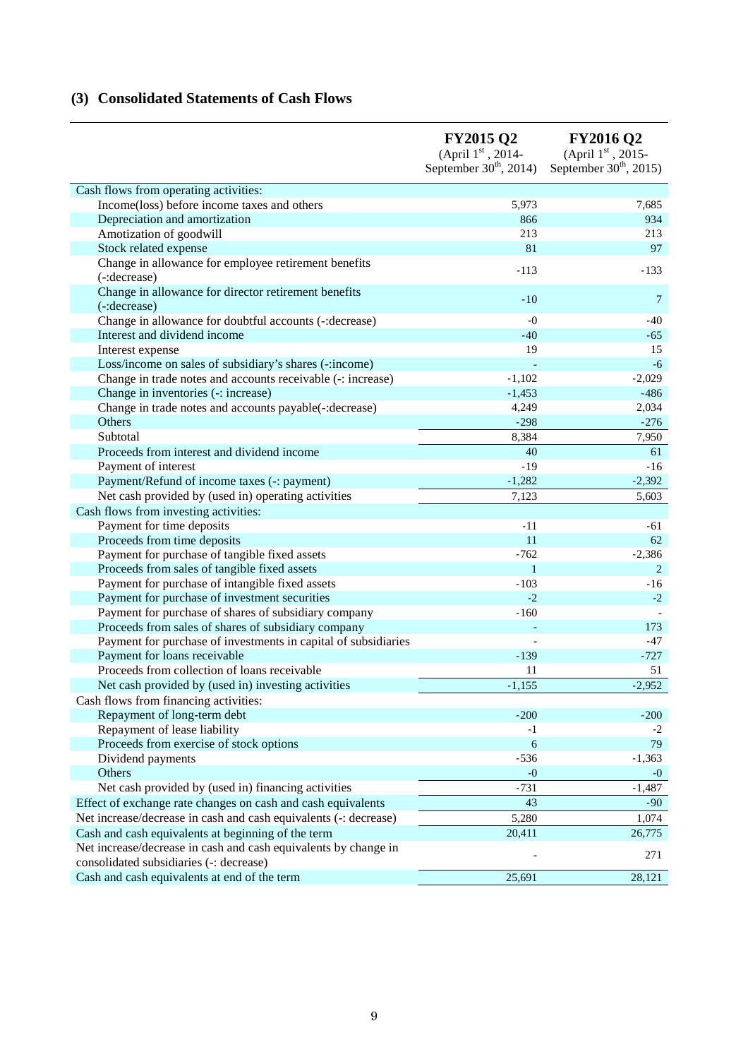# **(3) Consolidated Statements of Cash Flows**

|                                                                                                            | <b>FY2015 Q2</b><br>(April 1st, 2014-<br>September $30th$ , 2014) | <b>FY2016 Q2</b><br>(April 1st , 2015-<br>September $30th$ , 2015) |
|------------------------------------------------------------------------------------------------------------|-------------------------------------------------------------------|--------------------------------------------------------------------|
| Cash flows from operating activities:                                                                      |                                                                   |                                                                    |
| Income(loss) before income taxes and others                                                                | 5,973                                                             | 7,685                                                              |
| Depreciation and amortization                                                                              | 866                                                               | 934                                                                |
| Amotization of goodwill                                                                                    | 213                                                               | 213                                                                |
| Stock related expense                                                                                      | 81                                                                | 97                                                                 |
| Change in allowance for employee retirement benefits                                                       |                                                                   |                                                                    |
| (-:decrease)                                                                                               | $-113$                                                            | $-133$                                                             |
| Change in allowance for director retirement benefits<br>(-:decrease)                                       | $-10$                                                             | 7                                                                  |
| Change in allowance for doubtful accounts (-: decrease)                                                    | $-0$                                                              | $-40$                                                              |
| Interest and dividend income                                                                               | $-40$                                                             | $-65$                                                              |
| Interest expense                                                                                           | 19                                                                | 15                                                                 |
| Loss/income on sales of subsidiary's shares (-: income)                                                    |                                                                   | $-6$                                                               |
| Change in trade notes and accounts receivable (-: increase)                                                | $-1,102$                                                          | $-2,029$                                                           |
| Change in inventories (-: increase)                                                                        | $-1,453$                                                          | $-486$                                                             |
| Change in trade notes and accounts payable(-: decrease)                                                    | 4,249                                                             | 2,034                                                              |
| Others                                                                                                     | $-298$                                                            | $-276$                                                             |
| Subtotal                                                                                                   | 8,384                                                             | 7,950                                                              |
| Proceeds from interest and dividend income                                                                 | 40                                                                | 61                                                                 |
| Payment of interest                                                                                        | $-19$                                                             | $-16$                                                              |
| Payment/Refund of income taxes (-: payment)                                                                | $-1,282$                                                          | $-2,392$                                                           |
| Net cash provided by (used in) operating activities                                                        | 7,123                                                             | 5,603                                                              |
| Cash flows from investing activities:                                                                      |                                                                   |                                                                    |
| Payment for time deposits                                                                                  | $-11$                                                             | -61                                                                |
| Proceeds from time deposits                                                                                | 11                                                                | 62                                                                 |
| Payment for purchase of tangible fixed assets                                                              | $-762$                                                            | $-2,386$                                                           |
| Proceeds from sales of tangible fixed assets                                                               | $\mathbf{1}$                                                      | 2                                                                  |
| Payment for purchase of intangible fixed assets                                                            | $-103$                                                            | $-16$                                                              |
| Payment for purchase of investment securities                                                              | $-2$                                                              | $-2$                                                               |
| Payment for purchase of shares of subsidiary company                                                       | $-160$                                                            |                                                                    |
| Proceeds from sales of shares of subsidiary company                                                        |                                                                   | 173                                                                |
| Payment for purchase of investments in capital of subsidiaries                                             |                                                                   | $-47$                                                              |
| Payment for loans receivable                                                                               | $-139$                                                            | $-727$                                                             |
| Proceeds from collection of loans receivable                                                               | 11                                                                | 51                                                                 |
| Net cash provided by (used in) investing activities                                                        | $-1,155$                                                          | $-2,952$                                                           |
| Cash flows from financing activities:                                                                      |                                                                   |                                                                    |
| Repayment of long-term debt                                                                                | $-200$                                                            | $-200$                                                             |
| Repayment of lease liability                                                                               | $-1$                                                              | $-2$                                                               |
| Proceeds from exercise of stock options                                                                    | 6                                                                 | 79                                                                 |
| Dividend payments                                                                                          | $-536$                                                            | $-1,363$                                                           |
| Others                                                                                                     | $-0$                                                              | $-0$                                                               |
| Net cash provided by (used in) financing activities                                                        | $-731$                                                            | $-1,487$                                                           |
| Effect of exchange rate changes on cash and cash equivalents                                               | 43                                                                | $-90$                                                              |
| Net increase/decrease in cash and cash equivalents (-: decrease)                                           | 5,280                                                             | 1,074                                                              |
| Cash and cash equivalents at beginning of the term                                                         | 20,411                                                            | 26,775                                                             |
| Net increase/decrease in cash and cash equivalents by change in<br>consolidated subsidiaries (-: decrease) |                                                                   | 271                                                                |
| Cash and cash equivalents at end of the term                                                               | 25,691                                                            | 28,121                                                             |